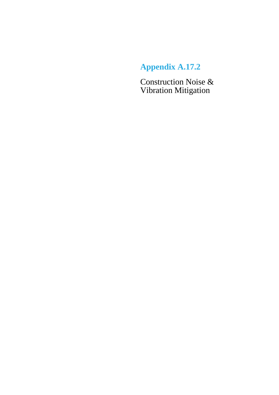# **Appendix A.17.2**

Construction Noise & Vibration Mitigation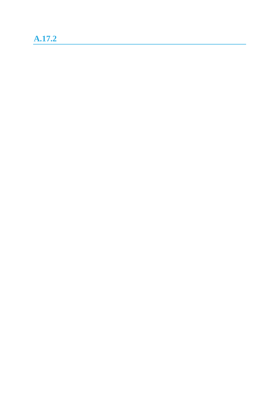## **A.17.2**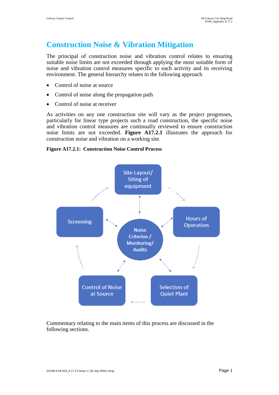### **Construction Noise & Vibration Mitigation**

The principal of construction noise and vibration control relates to ensuring suitable noise limits are not exceeded through applying the most suitable form of noise and vibration control measures specific to each activity and its receiving environment. The general hierarchy relates to the following approach

- Control of noise at source
- Control of noise along the propagation path
- Control of noise at receiver

As activities on any one construction site will vary as the project progresses, particularly for linear type projects such a road construction, the specific noise and vibration control measures are continually reviewed to ensure construction noise limits are not exceeded. **Figure A17.2.1** illustrates the approach for construction noise and vibration on a working site.

#### **Figure A17.2.1: Construction Noise Control Process**



Commentary relating to the main items of this process are discussed in the following sections.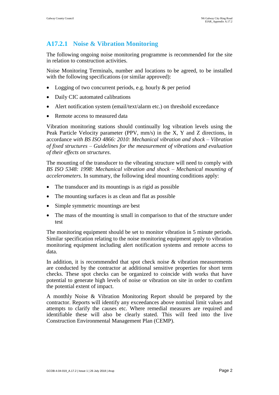### **A17.2.1 Noise & Vibration Monitoring**

The following ongoing noise monitoring programme is recommended for the site in relation to construction activities.

Noise Monitoring Terminals, number and locations to be agreed, to be installed with the following specifications (or similar approved):

- Logging of two concurrent periods, e.g. hourly & per period
- Daily CIC automated calibrations
- Alert notification system (email/text/alarm etc.) on threshold exceedance
- Remote access to measured data

Vibration monitoring stations should continually log vibration levels using the Peak Particle Velocity parameter (PPV, mm/s) in the X, Y and Z directions, in accordance *with BS ISO 4866: 2010: Mechanical vibration and shock – Vibration of fixed structures – Guidelines for the measurement of vibrations and evaluation of their effects on structures*.

The mounting of the transducer to the vibrating structure will need to comply with *BS ISO 5348: 1998: Mechanical vibration and shock – Mechanical mounting of accelerometers*. In summary, the following ideal mounting conditions apply:

- The transducer and its mountings is as rigid as possible
- The mounting surfaces is as clean and flat as possible
- Simple symmetric mountings are best
- The mass of the mounting is small in comparison to that of the structure under test

The monitoring equipment should be set to monitor vibration in 5 minute periods. Similar specification relating to the noise monitoring equipment apply to vibration monitoring equipment including alert notification systems and remote access to data.

In addition, it is recommended that spot check noise & vibration measurements are conducted by the contractor at additional sensitive properties for short term checks. These spot checks can be organized to coincide with works that have potential to generate high levels of noise or vibration on site in order to confirm the potential extent of impact.

A monthly Noise & Vibration Monitoring Report should be prepared by the contractor. Reports will identify any exceedances above nominal limit values and attempts to clarify the causes etc. Where remedial measures are required and identifiable these will also be clearly stated. This will feed into the live Construction Environmental Management Plan (CEMP).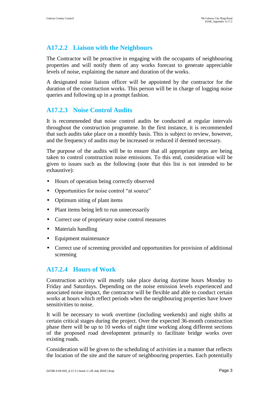#### **A17.2.2 Liaison with the Neighbours**

The Contractor will be proactive in engaging with the occupants of neighbouring properties and will notify them of any works forecast to generate appreciable levels of noise, explaining the nature and duration of the works.

A designated noise liaison officer will be appointed by the contractor for the duration of the construction works. This person will be in charge of logging noise queries and following up in a prompt fashion.

#### **A17.2.3 Noise Control Audits**

It is recommended that noise control audits be conducted at regular intervals throughout the construction programme. In the first instance, it is recommended that such audits take place on a monthly basis. This is subject to review, however, and the frequency of audits may be increased or reduced if deemed necessary.

The purpose of the audits will be to ensure that all appropriate steps are being taken to control construction noise emissions. To this end, consideration will be given to issues such as the following (note that this list is not intended to be exhaustive):

- Hours of operation being correctly observed
- Opportunities for noise control "at source"
- Optimum siting of plant items
- Plant items being left to run unnecessarily
- Correct use of proprietary noise control measures
- Materials handling
- Equipment maintenance
- Correct use of screening provided and opportunities for provision of additional screening

#### **A17.2.4 Hours of Work**

Construction activity will mostly take place during daytime hours Monday to Friday and Saturdays. Depending on the noise emission levels experienced and associated noise impact, the contractor will be flexible and able to conduct certain works at hours which reflect periods when the neighbouring properties have lower sensitivities to noise.

It will be necessary to work overtime (including weekends) and night shifts at certain critical stages during the project. Over the expected 36-month construction phase there will be up to 10 weeks of night time working along different sections of the proposed road development primarily to facilitate bridge works over existing roads.

Consideration will be given to the scheduling of activities in a manner that reflects the location of the site and the nature of neighbouring properties. Each potentially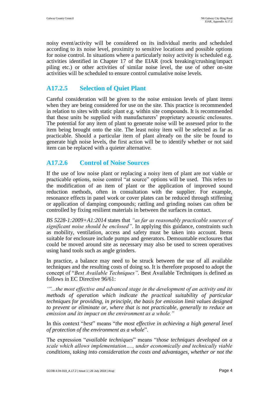noisy event/activity will be considered on its individual merits and scheduled according to its noise level, proximity to sensitive locations and possible options for noise control. In situations where a particularly noisy activity is scheduled e.g. activities identified in Chapter 17 of the EIAR (rock breaking/crushing/impact piling etc.) or other activities of similar noise level, the use of other on-site activities will be scheduled to ensure control cumulative noise levels.

#### **A17.2.5 Selection of Quiet Plant**

Careful consideration will be given to the noise emission levels of plant items when they are being considered for use on the site. This practice is recommended in relation to sites with static plant e.g. within site compounds. It is recommended that these units be supplied with manufacturers' proprietary acoustic enclosures. The potential for any item of plant to generate noise will be assessed prior to the item being brought onto the site. The least noisy item will be selected as far as practicable. Should a particular item of plant already on the site be found to generate high noise levels, the first action will be to identify whether or not said item can be replaced with a quieter alternative.

#### **A17.2.6 Control of Noise Sources**

If the use of low noise plant or replacing a noisy item of plant are not viable or practicable options, noise control "at source" options will be used. This refers to the modification of an item of plant or the application of improved sound reduction methods, often in consultation with the supplier. For example, resonance effects in panel work or cover plates can be reduced through stiffening or application of damping compounds; rattling and grinding noises can often be controlled by fixing resilient materials in between the surfaces in contact.

*BS 5228-1:2009+A1:2014* states that *"as far as reasonably practicable sources of significant noise should be enclosed"*. In applying this guidance, constraints such as mobility, ventilation, access and safety must be taken into account. Items suitable for enclosure include pumps and generators. Demountable enclosures that could be moved around site as necessary may also be used to screen operatives using hand tools such as angle grinders.

In practice, a balance may need to be struck between the use of all available techniques and the resulting costs of doing so. It is therefore proposed to adopt the concept of "*Best Available Techniques"*. Best Available Techniques is defined as follows in EC Directive 96/61:

*'"...the most effective and advanced stage in the development of an activity and its methods of operation which indicate the practical suitability of particular techniques for providing, in principle, the basis for emission limit values designed to prevent or eliminate or, where that is not practicable, generally to reduce an emission and its impact on the environment as a whole."*

In this context "*best*" means "*the most effective in achieving a high general level of protection of the environment as a whole*".

The expression "*available techniques*" means "*those techniques developed on a scale which allows implementation…., under economically and technically viable conditions, taking into consideration the costs and advantages, whether or not the*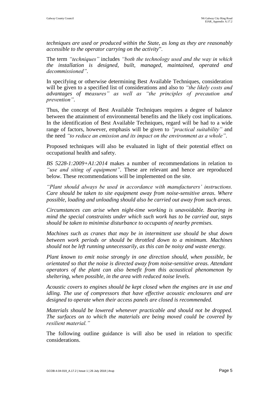*techniques are used or produced within the State, as long as they are reasonably accessible to the operator carrying on the activity*".

The term *"techniques"* includes *"both the technology used and the way in which the installation is designed, built, managed, maintained, operated and decommissioned"*.

In specifying or otherwise determining Best Available Techniques, consideration will be given to a specified list of considerations and also to *"the likely costs and advantages of measures" as well as "the principles of precaution and prevention"*.

Thus, the concept of Best Available Techniques requires a degree of balance between the attainment of environmental benefits and the likely cost implications. In the identification of Best Available Techniques, regard will be had to a wide range of factors, however, emphasis will be given to *"practical suitability"* and the need *"to reduce an emission and its impact on the environment as a whole"*.

Proposed techniques will also be evaluated in light of their potential effect on occupational health and safety.

*BS 5228-1:2009+A1:2014* makes a number of recommendations in relation to *"use and siting of equipment"*. These are relevant and hence are reproduced below. These recommendations will be implemented on the site.

*"Plant should always be used in accordance with manufacturers' instructions. Care should be taken to site equipment away from noise-sensitive areas. Where possible, loading and unloading should also be carried out away from such areas.*

*Circumstances can arise when night-time working is unavoidable. Bearing in mind the special constraints under which such work has to be carried out, steps should be taken to minimise disturbance to occupants of nearby premises.*

*Machines such as cranes that may be in intermittent use should be shut down between work periods or should be throttled down to a minimum. Machines should not be left running unnecessarily, as this can be noisy and waste energy.*

*Plant known to emit noise strongly in one direction should, when possible, be orientated so that the noise is directed away from noise-sensitive areas. Attendant operators of the plant can also benefit from this acoustical phenomenon by sheltering, when possible, in the area with reduced noise levels.*

*Acoustic covers to engines should be kept closed when the engines are in use and idling. The use of compressors that have effective acoustic enclosures and are designed to operate when their access panels are closed is recommended.*

*Materials should be lowered whenever practicable and should not be dropped. The surfaces on to which the materials are being moved could be covered by resilient material."*

The following outline guidance is will also be used in relation to specific considerations.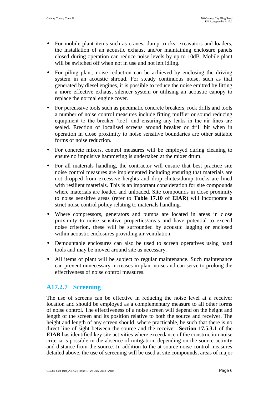- For mobile plant items such as cranes, dump trucks, excavators and loaders, the installation of an acoustic exhaust and/or maintaining enclosure panels closed during operation can reduce noise levels by up to 10dB. Mobile plant will be switched off when not in use and not left idling.
- For piling plant, noise reduction can be achieved by enclosing the driving system in an acoustic shroud. For steady continuous noise, such as that generated by diesel engines, it is possible to reduce the noise emitted by fitting a more effective exhaust silencer system or utilising an acoustic canopy to replace the normal engine cover.
- For percussive tools such as pneumatic concrete breakers, rock drills and tools a number of noise control measures include fitting muffler or sound reducing equipment to the breaker 'tool' and ensuring any leaks in the air lines are sealed. Erection of localised screens around breaker or drill bit when in operation in close proximity to noise sensitive boundaries are other suitable forms of noise reduction.
- For concrete mixers, control measures will be employed during cleaning to ensure no impulsive hammering is undertaken at the mixer drum.
- For all materials handling, the contractor will ensure that best practice site noise control measures are implemented including ensuring that materials are not dropped from excessive heights and drop chutes/dump trucks are lined with resilient materials. This is an important consideration for site compounds where materials are loaded and unloaded. Site compounds in close proximity to noise sensitive areas (refer to **Table 17.10** of **EIAR**) will incorporate a strict noise control policy relating to materials handling.
- Where compressors, generators and pumps are located in areas in close proximity to noise sensitive properties/areas and have potential to exceed noise criterion, these will be surrounded by acoustic lagging or enclosed within acoustic enclosures providing air ventilation.
- Demountable enclosures can also be used to screen operatives using hand tools and may be moved around site as necessary.
- All items of plant will be subject to regular maintenance. Such maintenance can prevent unnecessary increases in plant noise and can serve to prolong the effectiveness of noise control measures.

#### **A17.2.7 Screening**

The use of screens can be effective in reducing the noise level at a receiver location and should be employed as a complementary measure to all other forms of noise control. The effectiveness of a noise screen will depend on the height and length of the screen and its position relative to both the source and receiver. The height and length of any screen should, where practicable, be such that there is no direct line of sight between the source and the receiver. **Section 17.5.3.1** of the **EIAR** has identified key site activities where exceedance of the construction noise criteria is possible in the absence of mitigation, depending on the source activity and distance from the source. In addition to the at source noise control measures detailed above, the use of screening will be used at site compounds, areas of major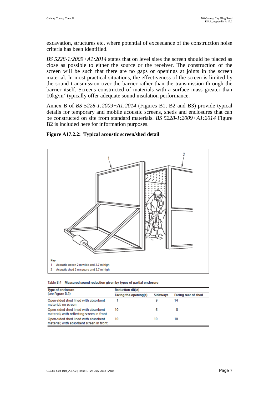excavation, structures etc. where potential of exceedance of the construction noise criteria has been identified.

*BS 5228-1:2009+A1:2014* states that on level sites the screen should be placed as close as possible to either the source or the receiver. The construction of the screen will be such that there are no gaps or openings at joints in the screen material. In most practical situations, the effectiveness of the screen is limited by the sound transmission over the barrier rather than the transmission through the barrier itself. Screens constructed of materials with a surface mass greater than 10kg/m<sup>2</sup> typically offer adequate sound insulation performance.

Annex B of *BS 5228-1:2009+A1:2014* (Figures B1, B2 and B3) provide typical details for temporary and mobile acoustic screens, sheds and enclosures that can be constructed on site from standard materials. *BS 5228-1:2009+A1:2014* Figure B2 is included here for information purposes.





| Table B.4 Measured sound reduction given by types of partial enclosure |  |  |  |  |
|------------------------------------------------------------------------|--|--|--|--|
|------------------------------------------------------------------------|--|--|--|--|

| <b>Type of enclosure</b>                                                          | <b>Reduction dB(A)</b> |                 |                            |  |
|-----------------------------------------------------------------------------------|------------------------|-----------------|----------------------------|--|
| (see Figure B.3)                                                                  | Facing the opening(s)  | <b>SIdeways</b> | <b>Facing rear of shed</b> |  |
| Open-sided shed lined with absorbent<br>material; no screen                       |                        | 9               | 14                         |  |
| Open-sided shed lined with absorbent<br>material; with reflecting screen in front | 10                     | 6               | 8                          |  |
| Open-sided shed lined with absorbent<br>material; with absorbent screen in front  | 10                     | 10              | 10                         |  |